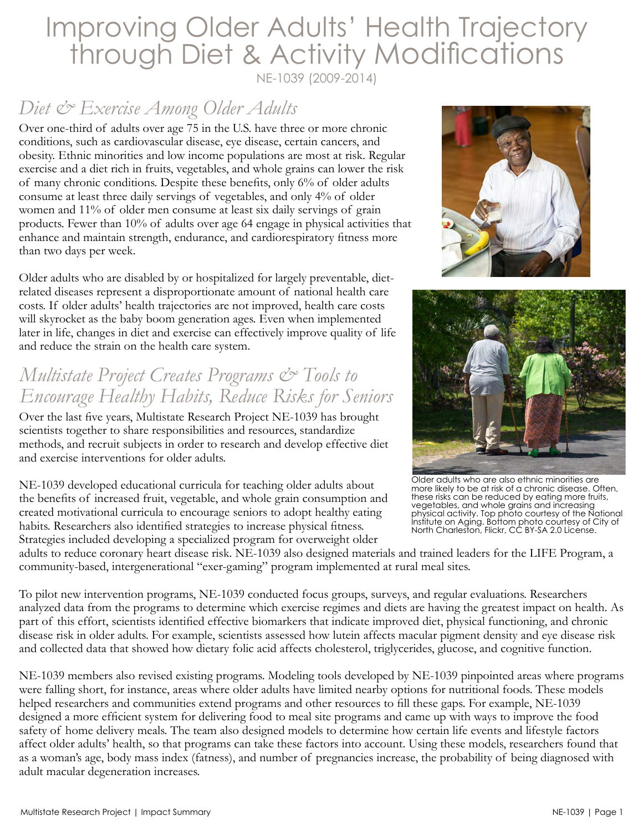# Improving Older Adults' Health Trajectory through Diet & Activity Modifications

NE-1039 (2009-2014)

#### *Diet & Exercise Among Older Adults*

Over one-third of adults over age 75 in the U.S. have three or more chronic conditions, such as cardiovascular disease, eye disease, certain cancers, and obesity. Ethnic minorities and low income populations are most at risk. Regular exercise and a diet rich in fruits, vegetables, and whole grains can lower the risk of many chronic conditions. Despite these benefits, only 6% of older adults consume at least three daily servings of vegetables, and only 4% of older women and 11% of older men consume at least six daily servings of grain products. Fewer than 10% of adults over age 64 engage in physical activities that enhance and maintain strength, endurance, and cardiorespiratory fitness more than two days per week.

Older adults who are disabled by or hospitalized for largely preventable, dietrelated diseases represent a disproportionate amount of national health care costs. If older adults' health trajectories are not improved, health care costs will skyrocket as the baby boom generation ages. Even when implemented later in life, changes in diet and exercise can effectively improve quality of life and reduce the strain on the health care system.

#### *Multistate Project Creates Programs & Tools to Encourage Healthy Habits, Reduce Risks for Seniors*

Over the last five years, Multistate Research Project NE-1039 has brought scientists together to share responsibilities and resources, standardize methods, and recruit subjects in order to research and develop effective diet and exercise interventions for older adults.

NE-1039 developed educational curricula for teaching older adults about the benefits of increased fruit, vegetable, and whole grain consumption and created motivational curricula to encourage seniors to adopt healthy eating habits. Researchers also identified strategies to increase physical fitness. Strategies included developing a specialized program for overweight older





Older adults who are also ethnic minorities are more likely to be at risk of a chronic disease. Often, these risks can be reduced by eating more fruits, vegetables, and whole grains and increasing physical activity. Top photo courtesy of the [National](https://www.nia.nih.gov/health/publication/healthy-eating-after-50%20)  [Institute on Aging](https://www.nia.nih.gov/health/publication/healthy-eating-after-50%20). Bottom photo courtesy of City of North Charleston, Flickr, [CC BY-SA 2.0 License.](https://creativecommons.org/licenses/by-sa/2.0/%0D)

adults to reduce coronary heart disease risk. NE-1039 also designed materials and trained leaders for the LIFE Program, a community-based, intergenerational "exer-gaming" program implemented at rural meal sites.

To pilot new intervention programs, NE-1039 conducted focus groups, surveys, and regular evaluations. Researchers analyzed data from the programs to determine which exercise regimes and diets are having the greatest impact on health. As part of this effort, scientists identified effective biomarkers that indicate improved diet, physical functioning, and chronic disease risk in older adults. For example, scientists assessed how lutein affects macular pigment density and eye disease risk and collected data that showed how dietary folic acid affects cholesterol, triglycerides, glucose, and cognitive function.

NE-1039 members also revised existing programs. Modeling tools developed by NE-1039 pinpointed areas where programs were falling short, for instance, areas where older adults have limited nearby options for nutritional foods. These models helped researchers and communities extend programs and other resources to fill these gaps. For example, NE-1039 designed a more efficient system for delivering food to meal site programs and came up with ways to improve the food safety of home delivery meals. The team also designed models to determine how certain life events and lifestyle factors affect older adults' health, so that programs can take these factors into account. Using these models, researchers found that as a woman's age, body mass index (fatness), and number of pregnancies increase, the probability of being diagnosed with adult macular degeneration increases.